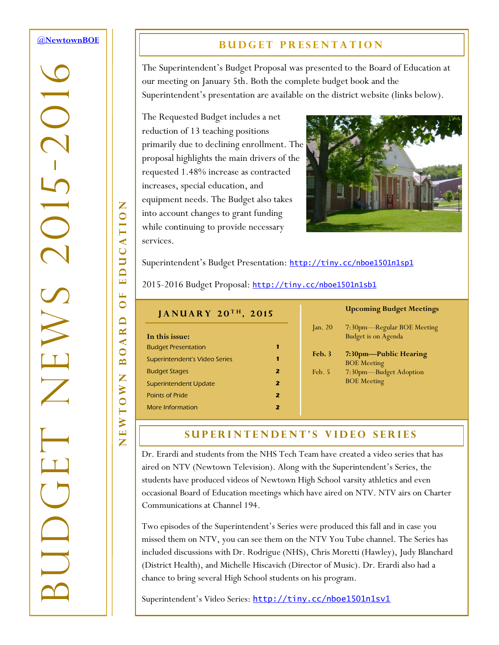### <span id="page-0-0"></span>**[@NewtownBOE](http://tiny.cc/nboe1501n1t1)**

# -2016 BUDGET NEWS 2015  $\overline{C}$  $\gtrsim$

NEWTOWN BOARD OF EDUCATION

 $\Box$  $\overline{\mathbf{z}}$  $\triangleleft$  $\bullet$  $\mathbf{\underline{a}}$ Z

EWTOW

Z

Z

EDUCATIO

H  $\bullet$ 

### **BUDGET PRESENTATION**

The Superintendent's Budget Proposal was presented to the Board of Education at our meeting on January 5th. Both the complete budget book and the Superintendent's presentation are available on the district website (links below).

The Requested Budget includes a net reduction of 13 teaching positions primarily due to declining enrollment. The proposal highlights the main drivers of the requested 1.48% increase as contracted increases, special education, and equipment needs. The Budget also takes into account changes to grant funding while continuing to provide necessary services.



Superintendent's Budget Presentation: <http://tiny.cc/nboe1501n1sp1>

2015-2016 Budget Proposal: <http://tiny.cc/nboe1501n1sb1>

| JANUARY 20TH, 2015            |                         |      |
|-------------------------------|-------------------------|------|
|                               |                         | an.  |
| In this issue:                |                         |      |
| <b>Budget Presentation</b>    | 1                       |      |
| Superintendent's Video Series | 1                       | Feb  |
| <b>Budget Stages</b>          | 2                       | Feb. |
| Superintendent Update         | $\overline{\mathbf{z}}$ |      |
| <b>Points of Pride</b>        | $\overline{\mathbf{z}}$ |      |
| More Information              | 7                       |      |

### **Upcoming Budget Meetings**

| $\gamma$ and 20 | 7:30pm—Regular BOE Meeting<br><b>Budget is on Agenda</b> |
|-----------------|----------------------------------------------------------|
| Feb.3           | 7:30pm—Public Hearing<br><b>BOE</b> Meeting              |
| Feb. 5          | 7:30pm-Budget Adoption<br><b>BOE</b> Meeting             |

### **SUPERINTENDENT'S VIDEO SERIES**

Dr. Erardi and students from the NHS Tech Team have created a video series that has aired on NTV (Newtown Television). Along with the Superintendent's Series, the students have produced videos of Newtown High School varsity athletics and even occasional Board of Education meetings which have aired on NTV. NTV airs on Charter Communications at Channel 194.

Two episodes of the Superintendent's Series were produced this fall and in case you missed them on NTV, you can see them on the NTV You Tube channel. The Series has included discussions with Dr. Rodrigue (NHS), Chris Moretti (Hawley), Judy Blanchard (District Health), and Michelle Hiscavich (Director of Music). Dr. Erardi also had a chance to bring several High School students on his program.

Superintendent's Video Series: <http://tiny.cc/nboe1501n1sv1>